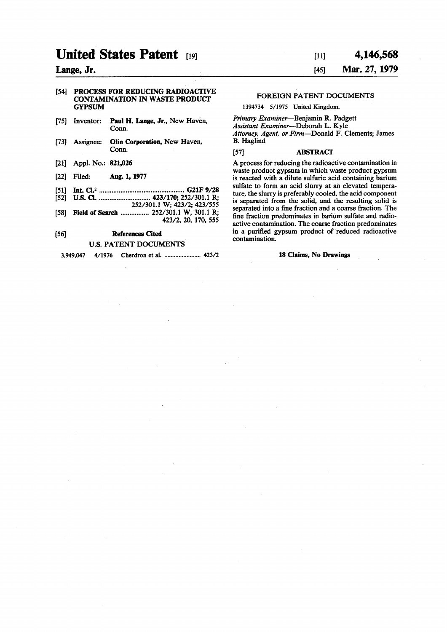# **United States Patent 1991**

## **Lange, Jr.**

#### [54] PROCESS FOR REDUCING RADIOACTIVE CONTAMINATION IN WASTE PRODUCT GYPSUM

- [75] Inventor: Paul H. Lange, Jr., New Haven, Conn.
- [73] Assignee: Olin Corporation, New Haven, Conn.
- [21] Appl. No.: 821,026
- [22] Filed: Aug. 1,1977
- [51] Int. Q.<sup>2</sup> G21F9/28
- [52] U.S. a 423/170; 252/301.1 R; 252/301.1 W; 423/2; 423/555
- [58] Field of Search ................ 252/301.1 W, 301.1 R; 423/2, 20, 170, 555

## [56] References Cited U.S. PATENT DOCUMENTS

**3,949,047 4/1976 Cherdron et al. 423/2** 18 Claims, No Drawings

# **[ii] 4,146,568 [45] Mar. 27,1979**

### FOREIGN PATENT DOCUMENTS

**1394734 5/1975 United Kingdom.** 

*Primary Examiner*—Benjamin R. Padgett *Assistant Examiner*—Deborah L. Kyle *Attorney, Agent, or Firm*—Donald F. Clements; James B. Haglind

#### [57] ABSTRACT

A process for reducing the radioactive contamination in waste product gypsum in which waste product gypsum is reacted with a dilute sulfuric acid containing barium sulfate to form an acid slurry at an elevated temperature, the slurry is preferably cooled, the acid component is separated from the solid, and the resulting solid is separated into a fine fraction and a coarse fraction. The fine fraction predominates in barium sulfate and radioactive contamination. The coarse fraction predominates in a purified gypsum product of reduced radioactive contamination.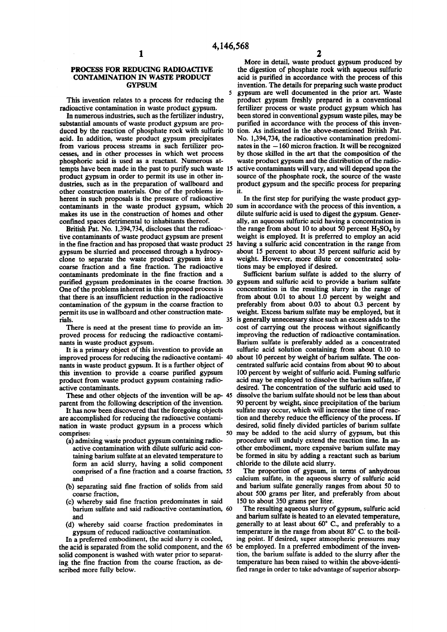5

#### **PROCES S FO R REDUCIN G RADIOACTIV E CONTAMINATION IN WASTE PRODUCT GYPSU M**

This invention relates to a process for reducing the radioactive contamination in waste product gypsum.

In numerous industries, such as the fertilizer industry, substantial amounts of waste product gypsum are produced by the reaction of phosphate rock with sulfuric 10 acid. In addition, waste product gypsum precipitates from various process streams in such fertilizer processes, and in other processes in which wet process phosphoric acid is used as a reactant. Numerous attempts have been made in the past to purify such waste IS product gypsum in order to permit its use in other industries, such as in the preparation of wallboard and other construction materials. One of the problems inherent in such proposals is the pressure of radioactive contaminants in the waste product gypsum, which 20 sum in accordance with the process of this invention, a makes its use in the construction of homes and other confined spaces detrimental to inhabitants thereof.

British Pat. No. 1,394,734, discloses that the radioactive contaminants of waste product gypsum are present in the fine fraction and has proposed that waste product 25 gypsum be slurried and processed through a hydrocyclone to separate the waste product gypsum into a coarse fraction and a fine fraction. The radioactive contaminants predominate in the fine fraction and a purified gypsum predominates in the coarse fraction. 30 One of the problems inherent in this proposed process is that there is an insufficient reduction in the radioactive contamination of the gypsum in the coarse fraction to permit its use in wallboard and other construction materials. 35

There is need at the present time to provide an improved process for reducing the radioactive contaminants in waste product gypsum.

It is a primary object of this invention to provide an improved process for reducing the radioactive contami- 40 nants in waste product gypsum. It is a further object of this invention to provide a coarse purified gypsum product from waste product gypsum containing radioactive contaminants.

These and other objects of the invention will be ap- 45 parent from the following description of the invention.

It has now been discovered that the foregoing objects are accomplished for reducing the radioactive contamination in waste product gypsum in a process which comprises: 50

- (a) admixing waste product gypsum containing radioactive contamination with dilute sulfuric acid containing barium sulfate at an elevated temperature to form an acid slurry, having a solid component comprised of a fine fraction and a coarse fraction, 55 and
- (b) separating said fine fraction of solids from said coarse fraction,
- (c) whereby said fine fraction predominates in said barium sulfate and said radioactive contamination, 60 and
- (d) whereby said coarse fraction predominates in gypsum of reduced radioactive contamination.

In a preferred embodiment, the acid slurry is cooled, the acid is separated from the solid component, and the *65*  solid component is washed with water prior to separating the fine fraction from the coarse fraction, as described more fully below.

More in detail, waste product gypsum produced by the digestion of phosphate rock with aqueous sulfuric acid is purified in accordance with the process of this invention. The details for preparing such waste product gypsum are well documented in the prior art. Waste product gypsum freshly prepared in a conventional fertilizer process or waste product gypsum which has been stored in conventional gypsum waste piles, may be purified in accordance with the process of this invention. As indicated in the above-mentioned British Pat. No. 1,394,734, the radioactive contamination predominates in the —160 micron fraction. It will be recognized by those skilled in the art that the composition of the waste product gypsum and the distribution of the radioactive contaminants will vary, and will depend upon the source of the phosphate rock, the source of the waste product gypsum and the specific process for preparing it.

In the first step for purifying the waste product gypdilute sulfuric acid is used to digest the gypsum. Generally, an aqueous sulfuric acid having a concentration in the range from about 10 to about 50 percent  $H_2SO_4$  by weight is employed. It is preferred to employ an acid having a sulfuric acid concentration in the range from about 15 percent to about 35 percent sulfuric acid by weight. However, more dilute or concentrated solutions may be employed if desired.

Sufficient barium sulfate is added to the slurry of gypsum and sulfuric acid to provide a barium sulfate concentration in the resulting slurry in the range of from about 0.01 to about 1.0 percent by weight and preferably from about 0.03 to about 0.3 percent by weight. Excess barium sulfate may be employed, but it is generally unnecessary since such an excess adds to the cost of carrying out the process without significantly improving the reduction of radioactive contamination. Barium sulfate is preferably added as a concentrated sulfuric acid solution containing from about 0.10 to about 10 percent by weight of barium sulfate. The concentrated sulfuric acid contains from about 90 to about 100 percent by weight of sulfuric acid. Fuming sulfuric acid may be employed to dissolve the barium sulfate, if desired. The concentration of the sulfuric acid used to dissolve the barium sulfate should not be less than about 90 percent by weight, since precipitation of the barium sulfate may occur, which will increase the time of reaction and thereby reduce the efficiency of the process. If desired, solid finely divided particles of barium sulfate may be added to the acid slurry of gypsum, but this procedure will unduly extend the reaction time. In another embodiment, more expensive barium sulfate may be formed in situ by adding a reactant such as barium chloride to the dilute acid slurry.

The proportion of gypsum, in terms of anhydrous calcium sulfate, in the aqueous slurry of sulfuric acid and barium sulfate generally ranges from about 50 to about 500 grams per liter, and preferably from about 150 to about 350 grams per liter.

The resulting aqueous slurry of gypsum, sulfuric acid and barium sulfate is heated to an elevated temperature, generally to at least about 60° C., and preferably to a temperature in the range from about 80° C. to the boiling point. If desired, super atmospheric pressures may be employed. In a preferred embodiment of the invention, the barium sulfate is added to the slurry after the temperature has been raised to within the above-identified range in order to take advantage of superior absorp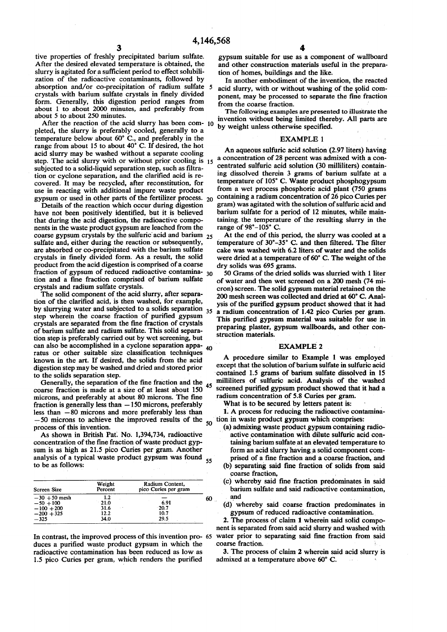tive properties of freshly precipitated barium sulfate. After the desired elevated temperature is obtained, the slurry is agitated for a sufficient period to effect solubilization of the radioactive contaminants, followed by absorption and/or co-precipitation of radium sulfate crystals with barium sulfate crystals in finely divided form. Generally, this digestion period ranges from about 1 to about 2000 minutes, and preferably from about 5 to about 250 minutes.

After the reaction of the acid slurry has been com-10 pleted, the slurry is preferably cooled, generally to a temperature below about 60° C., and preferably in the range from about 15 to about 40° C. If desired, the hot acid slurry may be washed without a separate cooling step. The acid slurry with or without prior cooling is **15**  subjected to a solid-liquid separation step, such as filtration or cyclone separation, and the clarified acid is recovered. It may be recycled, after reconstitution, for use in reacting with additional impure waste product gypsum or used in other parts of the fertilizer process. **20** 

Details of the reaction which occur during digestion have not been positively identified, but it is believed that during the acid digestion, the radioactive components in the waste product gypsum are leached from the coarse gypsum crystals by the sulfuric'acid and barium **25**  sulfate and, either during the reaction or subsequently, are absorbed or co-precipitated with the barium sulfate crystals in finely divided form. As a result, the solid product from the acid digestion is comprised of a coarse fraction of gypsum of reduced radioactive contamina-**30**  tion and a fine fraction comprised of barium sulfate crystals and radium sulfate crystals.

The solid component of the acid slurry, after separation of the clarified acid, is then washed, for example, by slurrying water and subjected to a solids separation step wherein the coarse fraction of purified gypsum crystals are separated from the fine fraction of crystals of barium sulfate and radium sulfate. This solid separation step is preferably carried out by wet screening, but can also be accomplished in a cyclone separation apparatus or other suitable size classification techniques known in the art. If desired, the solids from the acid digestion step may be washed and dried and stored prior to the solids separation step. **35 40** 

Generally, the separation of the fine fraction and the coarse fraction is made at a size of at least about 150 microns, and preferably at about 80 microns. The fine fraction is generally less than —150 microns, preferably less than —80 microns and more preferably less than —50 microns to achieve the improved results of the **50**  process of this invention.

As shown in British Pat. No. 1,394,734, radioactive concentration of the fine fraction of waste product gypsum is as high as 21.5 pico Curies per gram. Another analysis of a typical waste product gypsum was found **55**  to be as follows:

| <b>Screen Size</b> | Weight<br>Percent | Radium Content,<br>pico Curies per gram |    |
|--------------------|-------------------|-----------------------------------------|----|
| $-30 + 50$ mesh    | 1.2               |                                         | 60 |
| $-50 + 100$        | 21.0              | 6.91                                    |    |
| $-100 + 200$       | 31.6              | $-20.7$                                 |    |
| $-200 + 325$       | 12.2              | 10.7                                    |    |
| $-325$             | 34.0              | 29.5                                    |    |

In contrast, the improved process of this invention pro-**65**  duces a purified waste product gypsum in which the radioactive contamination has been reduced as low as 1.5 pico Curies per gram, which renders the purified

gypsum suitable for use as a component of wallboard and other construction materials useful in the preparation of homes, buildings and the like.

In another embodiment of the invention, the reacted acid slurry, with or without washing of the solid component, may be processed to separate the fine fraction from the coarse fraction.

The following examples are presented to illustrate the invention without being limited thereby. All parts are by weight unless otherwise specified.

#### EXAMPLE 1

An aqueous sulfuric acid solution (2.97 liters) having a concentration of 28 percent was admixed with a concentrated sulfuric acid solution (30 milliliters) containing dissolved therein 3 grams of barium sulfate at a temperature of 105° C. Waste product phosphogypsum from a wet process phosphoric acid plant (750 grams containing a radium concentration of 26 pico Curies per gram) was agitated with the solution of sulfuric acid and barium sulfate for a period of 12 minutes, while maintaining the temperature of the resulting slurry in the range of 98°-105° C.

At the end of this period, the slurry was cooled at a temperature of 30°-35° C. and then filtered. The filter cake was washed with 6.2 liters of water and the solids were dried at a temperature of 60° C. The weight of the dry solids was 695 grams.

50 Grams of the dried solids was slurried with 1 liter of water and then wet screened on a 200 mesh (74 micron) screen. The solid gypsum material retained on the 200 mesh screen was collected and dried at 60° C. Analysis of the purified gypsum product showed that it had a radium concentration of 1.42 pico Curies per gram. This purified gypsum material was suitable for use in preparing plaster, gypsum wallboards, and other construction materials.

#### EXAMPLE 2

A procedure similar to Example 1 was employed except that the solution of barium sulfate in sulfuric acid contained 1.5 grams of barium sulfate dissolved in 15 milliliters of sulfuric acid. Analysis of the washed screened purified gypsum product showed that it had a radium concentration of 5.8 Curies per gram.

What is to be secured by letters patent is:

1. A process for reducing the radioactive contamination in waste product gypsum which comprises:

- (a) admixing waste product gypsum containing radioactive contamination with dilute sulfuric acid containing barium sulfate at an elevated temperature to form an acid slurry having a solid component comprised of a fine fraction and a coarse fraction, and
- (b) separating said fine fraction of solids from said coarse fraction,
- (c) whereby said fine fraction predominates in said barium sulfate and said radioactive contamination, and
- (d) whereby said coarse fraction predominates in gypsum of reduced radioactive contamination.

2. The process of claim 1 wherein said solid component is separated from said acid slurry and washed with water prior to separating said fine fraction from said coarse fraction.

3. The process of claim 2 wherein said acid slurry is admixed at a temperature above 60° C.